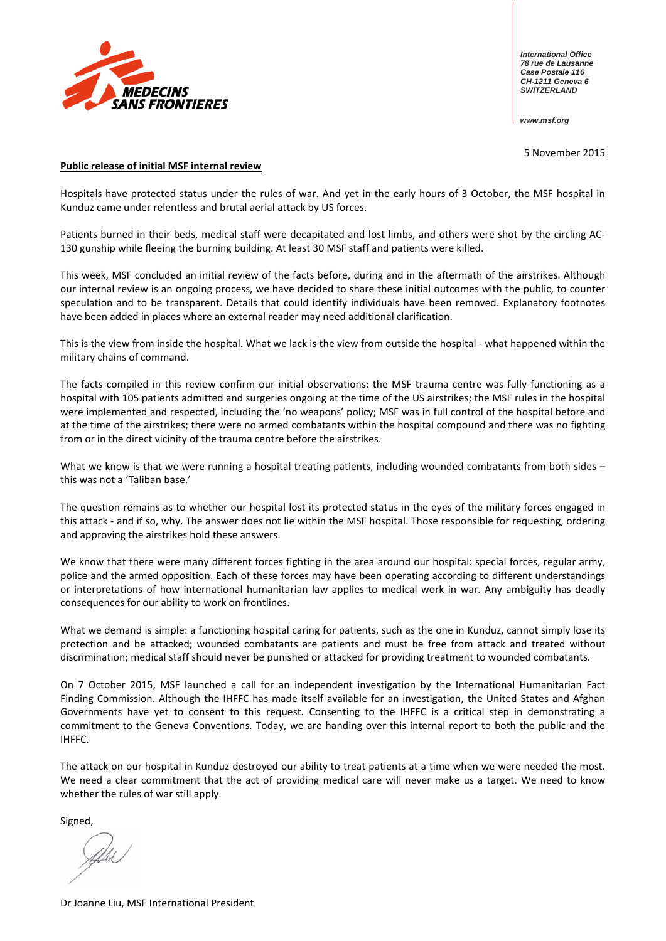

*International Office 78 rue de Lausanne Case Postale 116 CH-1211 Geneva 6 SWITZERLAND*

*www.msf.org*

5 November 2015

#### **Public release of initial MSF internal review**

Hospitals have protected status under the rules of war. And yet in the early hours of 3 October, the MSF hospital in Kunduz came under relentless and brutal aerial attack by US forces.

Patients burned in their beds, medical staff were decapitated and lost limbs, and others were shot by the circling AC-130 gunship while fleeing the burning building. At least 30 MSF staff and patients were killed.

This week, MSF concluded an initial review of the facts before, during and in the aftermath of the airstrikes. Although our internal review is an ongoing process, we have decided to share these initial outcomes with the public, to counter speculation and to be transparent. Details that could identify individuals have been removed. Explanatory footnotes have been added in places where an external reader may need additional clarification.

This is the view from inside the hospital. What we lack is the view from outside the hospital - what happened within the military chains of command.

The facts compiled in this review confirm our initial observations: the MSF trauma centre was fully functioning as a hospital with 105 patients admitted and surgeries ongoing at the time of the US airstrikes; the MSF rules in the hospital were implemented and respected, including the 'no weapons' policy; MSF was in full control of the hospital before and at the time of the airstrikes; there were no armed combatants within the hospital compound and there was no fighting from or in the direct vicinity of the trauma centre before the airstrikes.

What we know is that we were running a hospital treating patients, including wounded combatants from both sides – this was not a 'Taliban base.'

The question remains as to whether our hospital lost its protected status in the eyes of the military forces engaged in this attack - and if so, why. The answer does not lie within the MSF hospital. Those responsible for requesting, ordering and approving the airstrikes hold these answers.

We know that there were many different forces fighting in the area around our hospital: special forces, regular army, police and the armed opposition. Each of these forces may have been operating according to different understandings or interpretations of how international humanitarian law applies to medical work in war. Any ambiguity has deadly consequences for our ability to work on frontlines.

What we demand is simple: a functioning hospital caring for patients, such as the one in Kunduz, cannot simply lose its protection and be attacked; wounded combatants are patients and must be free from attack and treated without discrimination; medical staff should never be punished or attacked for providing treatment to wounded combatants.

On 7 October 2015, MSF launched a call for an independent investigation by the International Humanitarian Fact Finding Commission. Although the IHFFC has made itself available for an investigation, the United States and Afghan Governments have yet to consent to this request. Consenting to the IHFFC is a critical step in demonstrating a commitment to the Geneva Conventions. Today, we are handing over this internal report to both the public and the IHFFC.

The attack on our hospital in Kunduz destroyed our ability to treat patients at a time when we were needed the most. We need a clear commitment that the act of providing medical care will never make us a target. We need to know whether the rules of war still apply.

Signed,

Dr Joanne Liu, MSF International President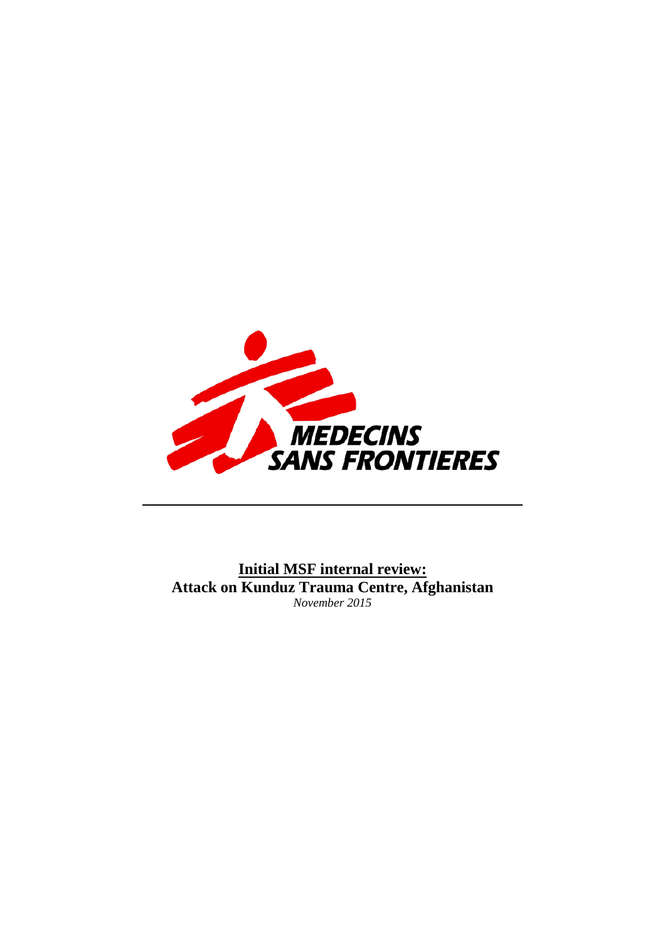

**Initial MSF internal review: Attack on Kunduz Trauma Centre, Afghanistan** *November 2015*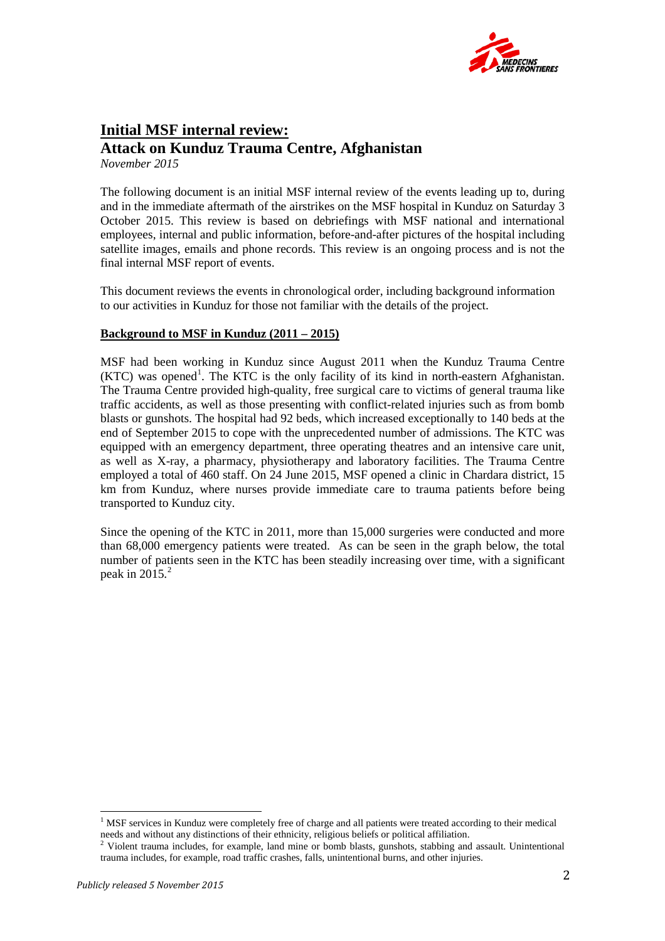

# **Initial MSF internal review: Attack on Kunduz Trauma Centre, Afghanistan**

*November 2015* 

The following document is an initial MSF internal review of the events leading up to, during and in the immediate aftermath of the airstrikes on the MSF hospital in Kunduz on Saturday 3 October 2015. This review is based on debriefings with MSF national and international employees, internal and public information, before-and-after pictures of the hospital including satellite images, emails and phone records. This review is an ongoing process and is not the final internal MSF report of events.

This document reviews the events in chronological order, including background information to our activities in Kunduz for those not familiar with the details of the project.

## **Background to MSF in Kunduz (2011 – 2015)**

MSF had been working in Kunduz since August 2011 when the Kunduz Trauma Centre  $(KTC)$  was opened<sup>[1](#page-2-0)</sup>. The KTC is the only facility of its kind in north-eastern Afghanistan. The Trauma Centre provided high-quality, free surgical care to victims of general trauma like traffic accidents, as well as those presenting with conflict-related injuries such as from bomb blasts or gunshots. The hospital had 92 beds, which increased exceptionally to 140 beds at the end of September 2015 to cope with the unprecedented number of admissions. The KTC was equipped with an emergency department, three operating theatres and an intensive care unit, as well as X-ray, a pharmacy, physiotherapy and laboratory facilities. The Trauma Centre employed a total of 460 staff. On 24 June 2015, MSF opened a clinic in Chardara district, 15 km from Kunduz, where nurses provide immediate care to trauma patients before being transported to Kunduz city.

Since the opening of the KTC in 2011, more than 15,000 surgeries were conducted and more than 68,000 emergency patients were treated. As can be seen in the graph below, the total number of patients seen in the KTC has been steadily increasing over time, with a significant peak in  $2015.<sup>2</sup>$  $2015.<sup>2</sup>$ 

<span id="page-2-0"></span><sup>&</sup>lt;sup>1</sup> MSF services in Kunduz were completely free of charge and all patients were treated according to their medical needs and without any distinctions of their ethnicity, religious beliefs or political affiliation.

<span id="page-2-1"></span> $2$  Violent trauma includes, for example, land mine or bomb blasts, gunshots, stabbing and assault. Unintentional trauma includes, for example, road traffic crashes, falls, unintentional burns, and other injuries.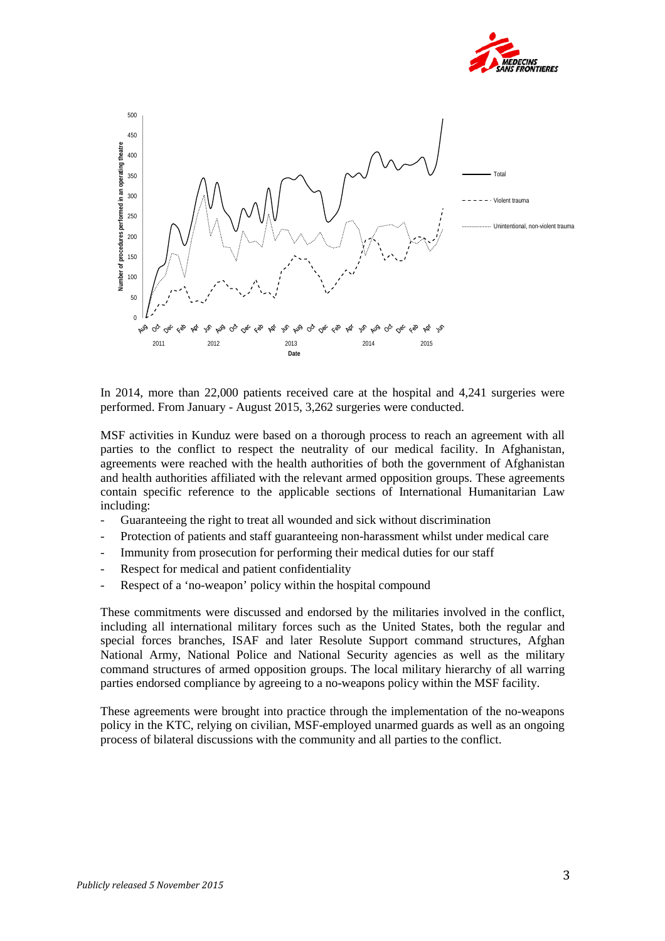



In 2014, more than 22,000 patients received care at the hospital and 4,241 surgeries were performed. From January - August 2015, 3,262 surgeries were conducted.

MSF activities in Kunduz were based on a thorough process to reach an agreement with all parties to the conflict to respect the neutrality of our medical facility. In Afghanistan, agreements were reached with the health authorities of both the government of Afghanistan and health authorities affiliated with the relevant armed opposition groups. These agreements contain specific reference to the applicable sections of International Humanitarian Law including:

- Guaranteeing the right to treat all wounded and sick without discrimination
- Protection of patients and staff guaranteeing non-harassment whilst under medical care
- Immunity from prosecution for performing their medical duties for our staff
- Respect for medical and patient confidentiality
- Respect of a 'no-weapon' policy within the hospital compound

These commitments were discussed and endorsed by the militaries involved in the conflict, including all international military forces such as the United States, both the regular and special forces branches, ISAF and later Resolute Support command structures, Afghan National Army, National Police and National Security agencies as well as the military command structures of armed opposition groups. The local military hierarchy of all warring parties endorsed compliance by agreeing to a no-weapons policy within the MSF facility.

These agreements were brought into practice through the implementation of the no-weapons policy in the KTC, relying on civilian, MSF-employed unarmed guards as well as an ongoing process of bilateral discussions with the community and all parties to the conflict.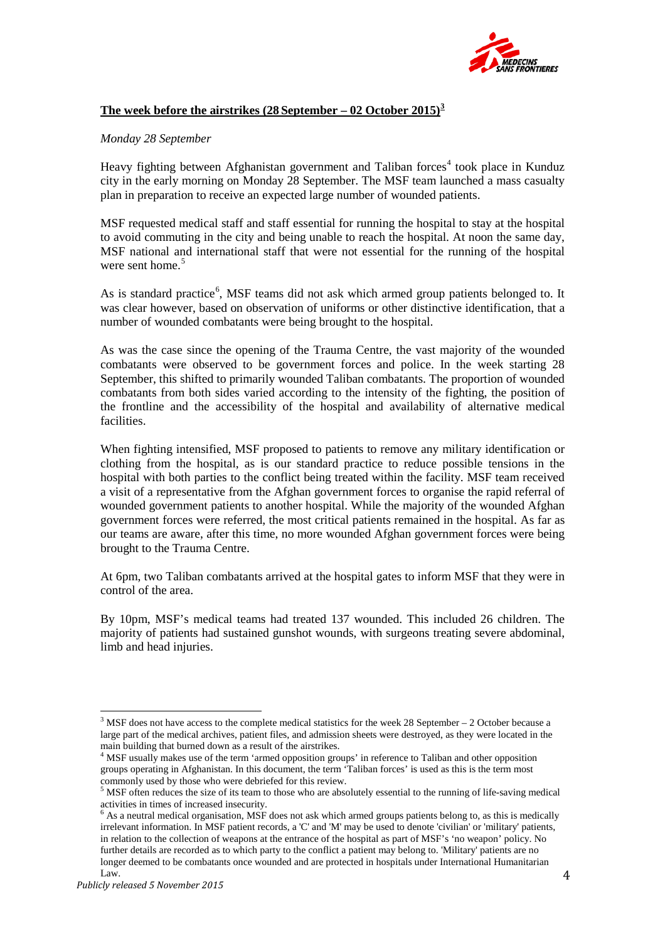

## **The week before the airstrikes (28 September – 02 October 2015) [3](#page-4-0)**

#### *Monday 28 September*

Heavy fighting between Afghanistan government and Taliban forces<sup>[4](#page-4-1)</sup> took place in Kunduz city in the early morning on Monday 28 September. The MSF team launched a mass casualty plan in preparation to receive an expected large number of wounded patients.

MSF requested medical staff and staff essential for running the hospital to stay at the hospital to avoid commuting in the city and being unable to reach the hospital. At noon the same day, MSF national and international staff that were not essential for the running of the hospital were sent home. [5](#page-4-2)

As is standard practice<sup>[6](#page-4-3)</sup>, MSF teams did not ask which armed group patients belonged to. It was clear however, based on observation of uniforms or other distinctive identification, that a number of wounded combatants were being brought to the hospital.

As was the case since the opening of the Trauma Centre, the vast majority of the wounded combatants were observed to be government forces and police. In the week starting 28 September, this shifted to primarily wounded Taliban combatants. The proportion of wounded combatants from both sides varied according to the intensity of the fighting, the position of the frontline and the accessibility of the hospital and availability of alternative medical facilities.

When fighting intensified, MSF proposed to patients to remove any military identification or clothing from the hospital, as is our standard practice to reduce possible tensions in the hospital with both parties to the conflict being treated within the facility. MSF team received a visit of a representative from the Afghan government forces to organise the rapid referral of wounded government patients to another hospital. While the majority of the wounded Afghan government forces were referred, the most critical patients remained in the hospital. As far as our teams are aware, after this time, no more wounded Afghan government forces were being brought to the Trauma Centre.

At 6pm, two Taliban combatants arrived at the hospital gates to inform MSF that they were in control of the area.

By 10pm, MSF's medical teams had treated 137 wounded. This included 26 children. The majority of patients had sustained gunshot wounds, with surgeons treating severe abdominal, limb and head injuries.

<span id="page-4-0"></span><sup>&</sup>lt;sup>3</sup> MSF does not have access to the complete medical statistics for the week 28 September – 2 October because a large part of the medical archives, patient files, and admission sheets were destroyed, as they were located in the main building that burned down as a result of the airstrikes.<br><sup>4</sup> MSF usually makes use of the term 'armed opposition groups' in reference to Taliban and other opposition

<span id="page-4-1"></span>groups operating in Afghanistan. In this document, the term 'Taliban forces' is used as this is the term most commonly used by those who were debriefed for this review.<br> $5$  MSF often reduces the size of its team to those who are absolutely essential to the running of life-saving medical

<span id="page-4-2"></span>activities in times of increased insecurity.

<span id="page-4-3"></span> $6$  As a neutral medical organisation, MSF does not ask which armed groups patients belong to, as this is medically irrelevant information. In MSF patient records, a 'C' and 'M' may be used to denote 'civilian' or 'military' patients, in relation to the collection of weapons at the entrance of the hospital as part of MSF's 'no weapon' policy. No further details are recorded as to which party to the conflict a patient may belong to. 'Military' patients are no longer deemed to be combatants once wounded and are protected in hospitals under International Humanitarian Law.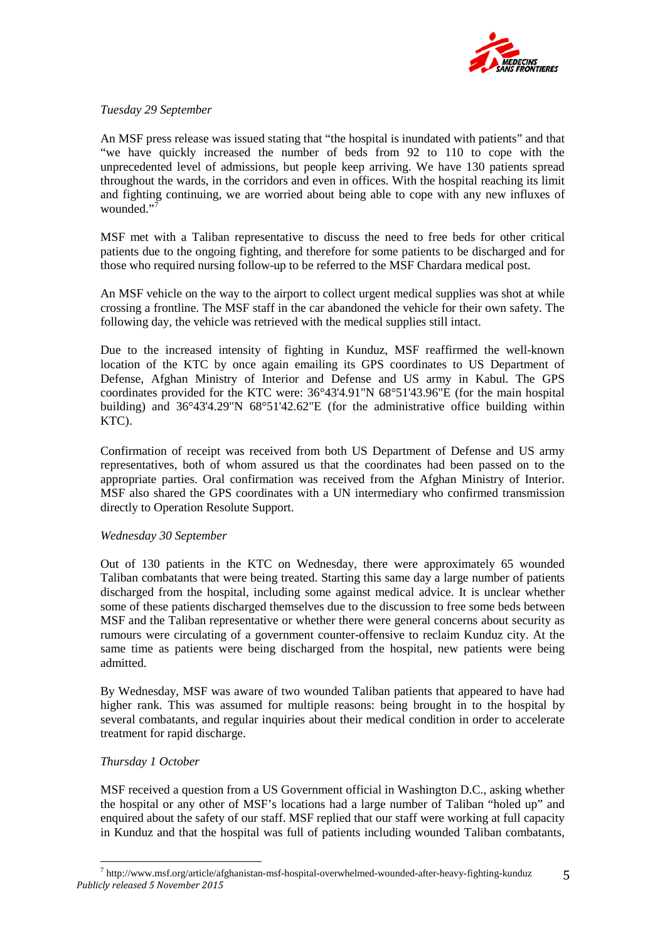

## *Tuesday 29 September*

An MSF press release was issued stating that "the hospital is inundated with patients" and that "we have quickly increased the number of beds from 92 to 110 to cope with the unprecedented level of admissions, but people keep arriving. We have 130 patients spread throughout the wards, in the corridors and even in offices. With the hospital reaching its limit and fighting continuing, we are worried about being able to cope with any new influxes of wounded."

MSF met with a Taliban representative to discuss the need to free beds for other critical patients due to the ongoing fighting, and therefore for some patients to be discharged and for those who required nursing follow-up to be referred to the MSF Chardara medical post.

An MSF vehicle on the way to the airport to collect urgent medical supplies was shot at while crossing a frontline. The MSF staff in the car abandoned the vehicle for their own safety. The following day, the vehicle was retrieved with the medical supplies still intact.

Due to the increased intensity of fighting in Kunduz, MSF reaffirmed the well-known location of the KTC by once again emailing its GPS coordinates to US Department of Defense, Afghan Ministry of Interior and Defense and US army in Kabul. The GPS coordinates provided for the KTC were: 36°43'4.91"N 68°51'43.96"E (for the main hospital building) and 36°43'4.29"N 68°51'42.62"E (for the administrative office building within KTC).

Confirmation of receipt was received from both US Department of Defense and US army representatives, both of whom assured us that the coordinates had been passed on to the appropriate parties. Oral confirmation was received from the Afghan Ministry of Interior. MSF also shared the GPS coordinates with a UN intermediary who confirmed transmission directly to Operation Resolute Support.

## *Wednesday 30 September*

Out of 130 patients in the KTC on Wednesday, there were approximately 65 wounded Taliban combatants that were being treated. Starting this same day a large number of patients discharged from the hospital, including some against medical advice. It is unclear whether some of these patients discharged themselves due to the discussion to free some beds between MSF and the Taliban representative or whether there were general concerns about security as rumours were circulating of a government counter-offensive to reclaim Kunduz city. At the same time as patients were being discharged from the hospital, new patients were being admitted.

By Wednesday, MSF was aware of two wounded Taliban patients that appeared to have had higher rank. This was assumed for multiple reasons: being brought in to the hospital by several combatants, and regular inquiries about their medical condition in order to accelerate treatment for rapid discharge.

## *Thursday 1 October*

MSF received a question from a US Government official in Washington D.C., asking whether the hospital or any other of MSF's locations had a large number of Taliban "holed up" and enquired about the safety of our staff. MSF replied that our staff were working at full capacity in Kunduz and that the hospital was full of patients including wounded Taliban combatants,

<span id="page-5-0"></span>*Publicly released 5 November 2015*  $^7$  http://www.msf.org/article/afghanistan-msf-hospital-overwhelmed-wounded-after-heavy-fighting-kunduz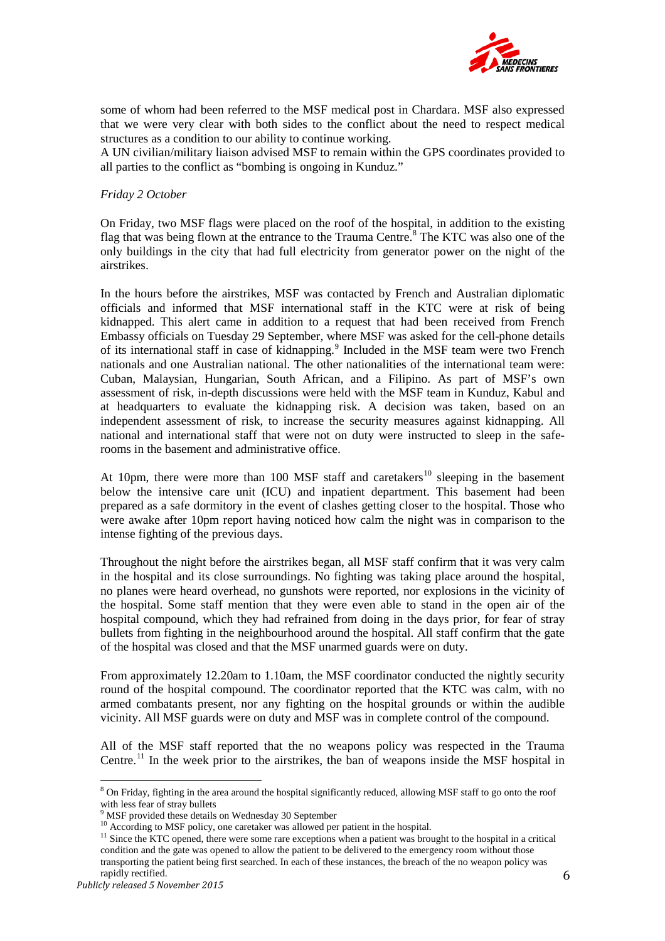

some of whom had been referred to the MSF medical post in Chardara. MSF also expressed that we were very clear with both sides to the conflict about the need to respect medical structures as a condition to our ability to continue working.

A UN civilian/military liaison advised MSF to remain within the GPS coordinates provided to all parties to the conflict as "bombing is ongoing in Kunduz."

#### *Friday 2 October*

On Friday, two MSF flags were placed on the roof of the hospital, in addition to the existing flag that was being flown at the entrance to the Trauma Centre.<sup>[8](#page-6-0)</sup> The KTC was also one of the only buildings in the city that had full electricity from generator power on the night of the airstrikes.

In the hours before the airstrikes, MSF was contacted by French and Australian diplomatic officials and informed that MSF international staff in the KTC were at risk of being kidnapped. This alert came in addition to a request that had been received from French Embassy officials on Tuesday 29 September, where MSF was asked for the cell-phone details of its international staff in case of kidnapping. [9](#page-6-1) Included in the MSF team were two French nationals and one Australian national. The other nationalities of the international team were: Cuban, Malaysian, Hungarian, South African, and a Filipino. As part of MSF's own assessment of risk, in-depth discussions were held with the MSF team in Kunduz, Kabul and at headquarters to evaluate the kidnapping risk. A decision was taken, based on an independent assessment of risk, to increase the security measures against kidnapping. All national and international staff that were not on duty were instructed to sleep in the saferooms in the basement and administrative office.

At [10](#page-6-2)pm, there were more than 100 MSF staff and caretakers<sup>10</sup> sleeping in the basement below the intensive care unit (ICU) and inpatient department. This basement had been prepared as a safe dormitory in the event of clashes getting closer to the hospital. Those who were awake after 10pm report having noticed how calm the night was in comparison to the intense fighting of the previous days.

Throughout the night before the airstrikes began, all MSF staff confirm that it was very calm in the hospital and its close surroundings. No fighting was taking place around the hospital, no planes were heard overhead, no gunshots were reported, nor explosions in the vicinity of the hospital. Some staff mention that they were even able to stand in the open air of the hospital compound, which they had refrained from doing in the days prior, for fear of stray bullets from fighting in the neighbourhood around the hospital. All staff confirm that the gate of the hospital was closed and that the MSF unarmed guards were on duty.

From approximately 12.20am to 1.10am, the MSF coordinator conducted the nightly security round of the hospital compound. The coordinator reported that the KTC was calm, with no armed combatants present, nor any fighting on the hospital grounds or within the audible vicinity. All MSF guards were on duty and MSF was in complete control of the compound.

All of the MSF staff reported that the no weapons policy was respected in the Trauma Centre.<sup>[11](#page-6-3)</sup> In the week prior to the airstrikes, the ban of weapons inside the MSF hospital in

<span id="page-6-3"></span><span id="page-6-2"></span><span id="page-6-1"></span> $11$  Since the KTC opened, there were some rare exceptions when a patient was brought to the hospital in a critical condition and the gate was opened to allow the patient to be delivered to the emergency room without those transporting the patient being first searched. In each of these instances, the breach of the no weapon policy was rapidly rectified.

<span id="page-6-0"></span><sup>&</sup>lt;sup>8</sup> On Friday, fighting in the area around the hospital significantly reduced, allowing MSF staff to go onto the roof with less fear of stray bullets<br>
<sup>9</sup> MSE around the roof

 $\degree$  MSF provided these details on Wednesday 30 September  $^{10}$  According to MSF policy, one caretaker was allowed per patient in the hospital.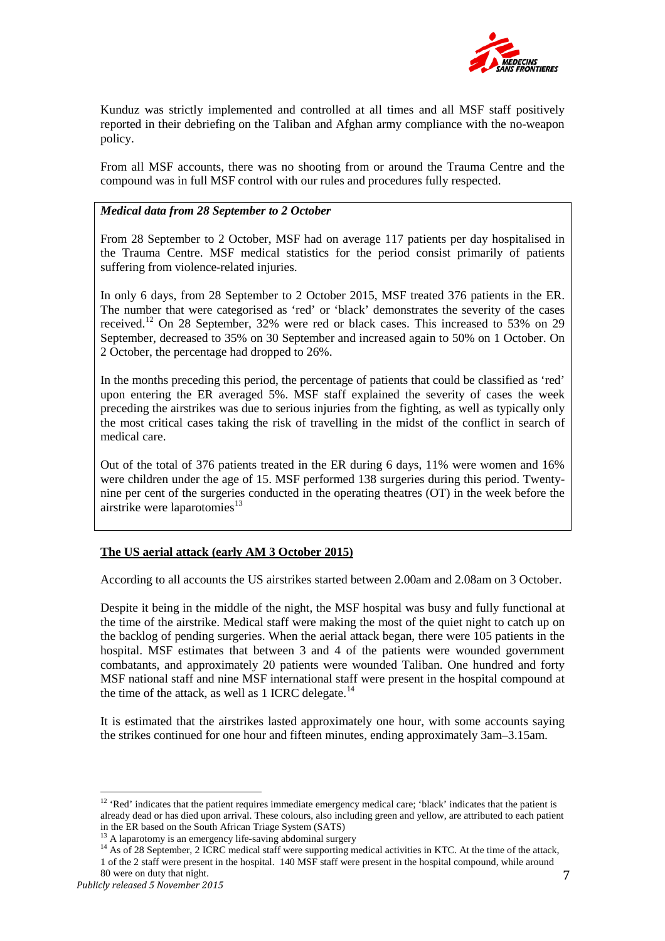

Kunduz was strictly implemented and controlled at all times and all MSF staff positively reported in their debriefing on the Taliban and Afghan army compliance with the no-weapon policy.

From all MSF accounts, there was no shooting from or around the Trauma Centre and the compound was in full MSF control with our rules and procedures fully respected.

## *Medical data from 28 September to 2 October*

From 28 September to 2 October, MSF had on average 117 patients per day hospitalised in the Trauma Centre. MSF medical statistics for the period consist primarily of patients suffering from violence-related injuries.

In only 6 days, from 28 September to 2 October 2015, MSF treated 376 patients in the ER. The number that were categorised as 'red' or 'black' demonstrates the severity of the cases received.[12](#page-7-0) On 28 September, 32% were red or black cases. This increased to 53% on 29 September, decreased to 35% on 30 September and increased again to 50% on 1 October. On 2 October, the percentage had dropped to 26%.

In the months preceding this period, the percentage of patients that could be classified as 'red' upon entering the ER averaged 5%. MSF staff explained the severity of cases the week preceding the airstrikes was due to serious injuries from the fighting, as well as typically only the most critical cases taking the risk of travelling in the midst of the conflict in search of medical care.

Out of the total of 376 patients treated in the ER during 6 days, 11% were women and 16% were children under the age of 15. MSF performed 138 surgeries during this period. Twentynine per cent of the surgeries conducted in the operating theatres (OT) in the week before the airstrike were laparotomies $^{13}$  $^{13}$  $^{13}$ 

## **The US aerial attack (early AM 3 October 2015)**

According to all accounts the US airstrikes started between 2.00am and 2.08am on 3 October.

Despite it being in the middle of the night, the MSF hospital was busy and fully functional at the time of the airstrike. Medical staff were making the most of the quiet night to catch up on the backlog of pending surgeries. When the aerial attack began, there were 105 patients in the hospital. MSF estimates that between 3 and 4 of the patients were wounded government combatants, and approximately 20 patients were wounded Taliban. One hundred and forty MSF national staff and nine MSF international staff were present in the hospital compound at the time of the attack, as well as 1 ICRC delegate.<sup>[14](#page-7-2)</sup>

It is estimated that the airstrikes lasted approximately one hour, with some accounts saying the strikes continued for one hour and fifteen minutes, ending approximately 3am–3.15am.

<span id="page-7-0"></span><sup>&</sup>lt;sup>12</sup> 'Red' indicates that the patient requires immediate emergency medical care; 'black' indicates that the patient is already dead or has died upon arrival. These colours, also including green and yellow, are attributed to each patient in the ER based on the South African Triage System (SATS)  $13$  A laparotomy is an emergency life-saving abdominal surgery

<span id="page-7-2"></span><span id="page-7-1"></span> $14$  As of 28 September, 2 ICRC medical staff were supporting medical activities in KTC. At the time of the attack, 1 of the 2 staff were present in the hospital. 140 MSF staff were present in the hospital compound, while around 80 were on duty that night.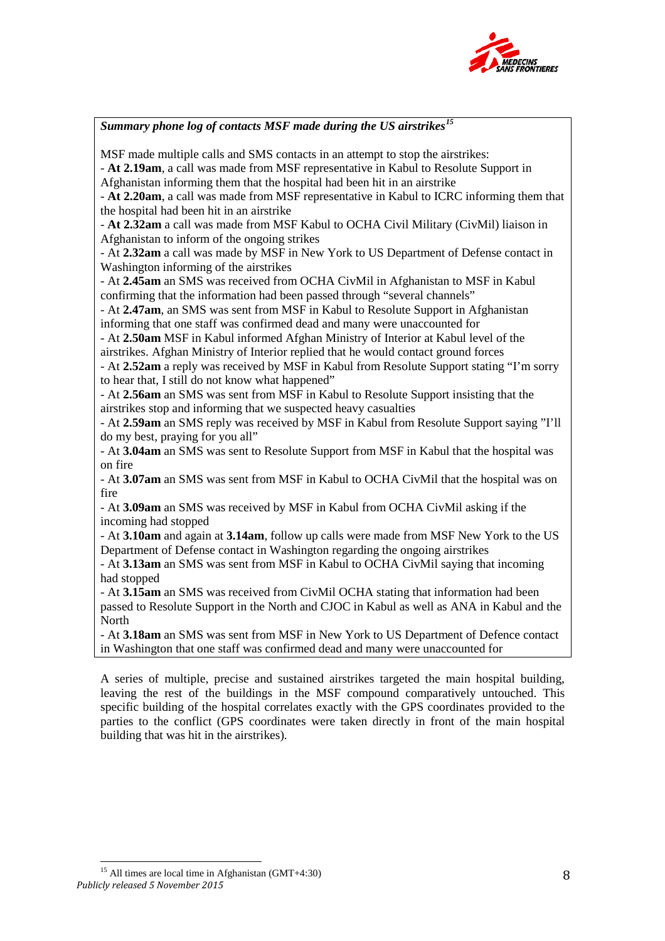

*Summary phone log of contacts MSF made during the US airstrikes[15](#page-8-0)* MSF made multiple calls and SMS contacts in an attempt to stop the airstrikes: - **At 2.19am**, a call was made from MSF representative in Kabul to Resolute Support in Afghanistan informing them that the hospital had been hit in an airstrike - **At 2.20am**, a call was made from MSF representative in Kabul to ICRC informing them that the hospital had been hit in an airstrike - **At 2.32am** a call was made from MSF Kabul to OCHA Civil Military (CivMil) liaison in Afghanistan to inform of the ongoing strikes - At **2.32am** a call was made by MSF in New York to US Department of Defense contact in Washington informing of the airstrikes - At **2.45am** an SMS was received from OCHA CivMil in Afghanistan to MSF in Kabul confirming that the information had been passed through "several channels" - At **2.47am**, an SMS was sent from MSF in Kabul to Resolute Support in Afghanistan informing that one staff was confirmed dead and many were unaccounted for - At **2.50am** MSF in Kabul informed Afghan Ministry of Interior at Kabul level of the airstrikes. Afghan Ministry of Interior replied that he would contact ground forces - At **2.52am** a reply was received by MSF in Kabul from Resolute Support stating "I'm sorry to hear that, I still do not know what happened" - At **2.56am** an SMS was sent from MSF in Kabul to Resolute Support insisting that the airstrikes stop and informing that we suspected heavy casualties - At **2.59am** an SMS reply was received by MSF in Kabul from Resolute Support saying "I'll do my best, praying for you all" - At **3.04am** an SMS was sent to Resolute Support from MSF in Kabul that the hospital was on fire - At **3.07am** an SMS was sent from MSF in Kabul to OCHA CivMil that the hospital was on fire - At **3.09am** an SMS was received by MSF in Kabul from OCHA CivMil asking if the incoming had stopped - At **3.10am** and again at **3.14am**, follow up calls were made from MSF New York to the US Department of Defense contact in Washington regarding the ongoing airstrikes - At **3.13am** an SMS was sent from MSF in Kabul to OCHA CivMil saying that incoming had stopped - At **3.15am** an SMS was received from CivMil OCHA stating that information had been passed to Resolute Support in the North and CJOC in Kabul as well as ANA in Kabul and the North - At **3.18am** an SMS was sent from MSF in New York to US Department of Defence contact in Washington that one staff was confirmed dead and many were unaccounted for

A series of multiple, precise and sustained airstrikes targeted the main hospital building, leaving the rest of the buildings in the MSF compound comparatively untouched. This specific building of the hospital correlates exactly with the GPS coordinates provided to the parties to the conflict (GPS coordinates were taken directly in front of the main hospital building that was hit in the airstrikes).

<span id="page-8-0"></span>*Publicly released 5 November 2015* <sup>15</sup> All times are local time in Afghanistan (GMT+4:30)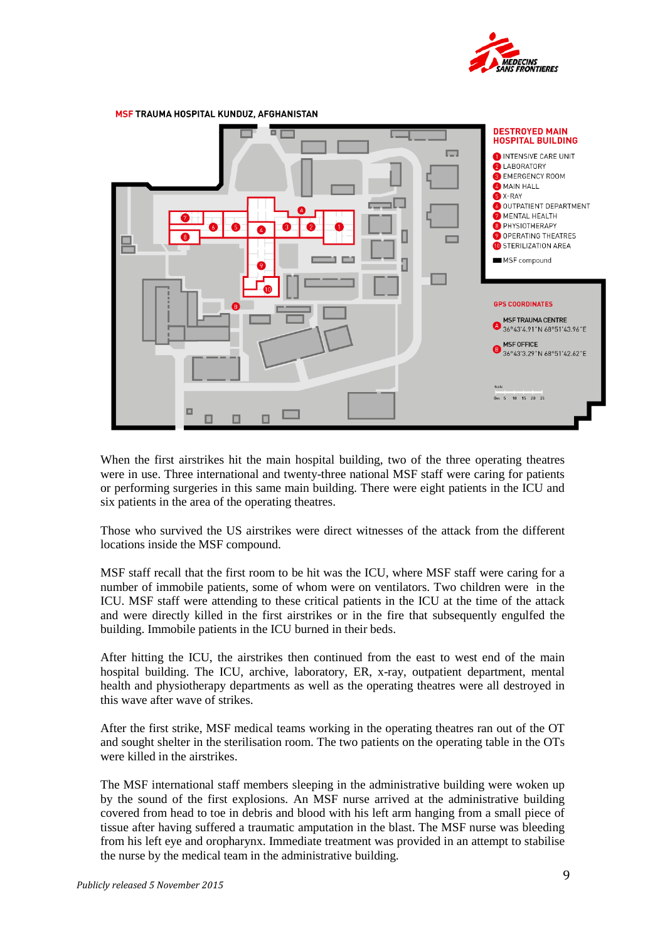



When the first airstrikes hit the main hospital building, two of the three operating theatres were in use. Three international and twenty-three national MSF staff were caring for patients or performing surgeries in this same main building. There were eight patients in the ICU and six patients in the area of the operating theatres.

Those who survived the US airstrikes were direct witnesses of the attack from the different locations inside the MSF compound.

MSF staff recall that the first room to be hit was the ICU, where MSF staff were caring for a number of immobile patients, some of whom were on ventilators. Two children were in the ICU. MSF staff were attending to these critical patients in the ICU at the time of the attack and were directly killed in the first airstrikes or in the fire that subsequently engulfed the building. Immobile patients in the ICU burned in their beds.

After hitting the ICU, the airstrikes then continued from the east to west end of the main hospital building. The ICU, archive, laboratory, ER, x-ray, outpatient department, mental health and physiotherapy departments as well as the operating theatres were all destroyed in this wave after wave of strikes.

After the first strike, MSF medical teams working in the operating theatres ran out of the OT and sought shelter in the sterilisation room. The two patients on the operating table in the OTs were killed in the airstrikes.

The MSF international staff members sleeping in the administrative building were woken up by the sound of the first explosions. An MSF nurse arrived at the administrative building covered from head to toe in debris and blood with his left arm hanging from a small piece of tissue after having suffered a traumatic amputation in the blast. The MSF nurse was bleeding from his left eye and oropharynx. Immediate treatment was provided in an attempt to stabilise the nurse by the medical team in the administrative building.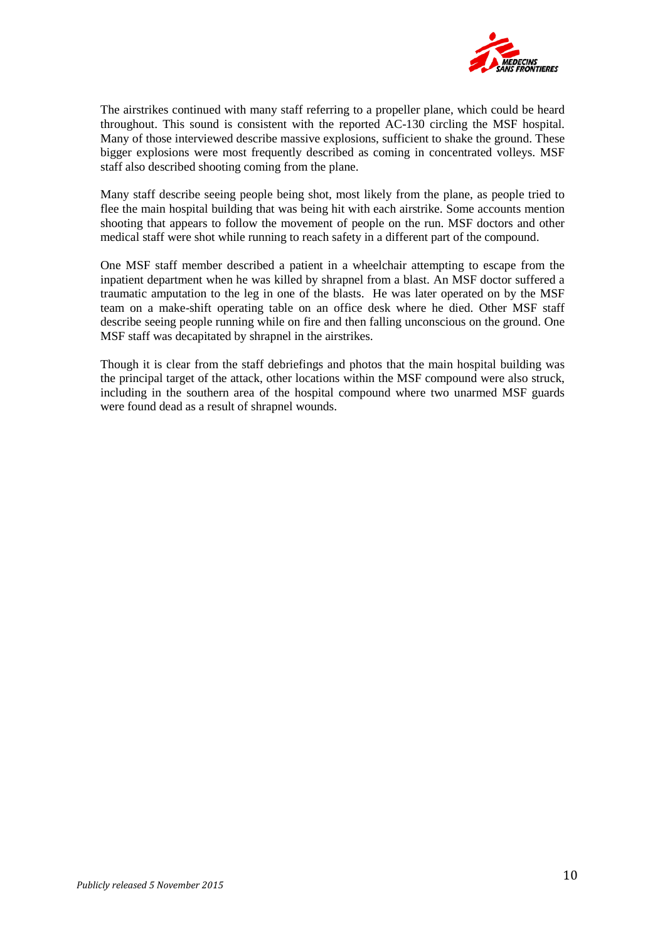

The airstrikes continued with many staff referring to a propeller plane, which could be heard throughout. This sound is consistent with the reported AC-130 circling the MSF hospital. Many of those interviewed describe massive explosions, sufficient to shake the ground. These bigger explosions were most frequently described as coming in concentrated volleys. MSF staff also described shooting coming from the plane.

Many staff describe seeing people being shot, most likely from the plane, as people tried to flee the main hospital building that was being hit with each airstrike. Some accounts mention shooting that appears to follow the movement of people on the run. MSF doctors and other medical staff were shot while running to reach safety in a different part of the compound.

One MSF staff member described a patient in a wheelchair attempting to escape from the inpatient department when he was killed by shrapnel from a blast. An MSF doctor suffered a traumatic amputation to the leg in one of the blasts. He was later operated on by the MSF team on a make-shift operating table on an office desk where he died. Other MSF staff describe seeing people running while on fire and then falling unconscious on the ground. One MSF staff was decapitated by shrapnel in the airstrikes.

Though it is clear from the staff debriefings and photos that the main hospital building was the principal target of the attack, other locations within the MSF compound were also struck, including in the southern area of the hospital compound where two unarmed MSF guards were found dead as a result of shrapnel wounds.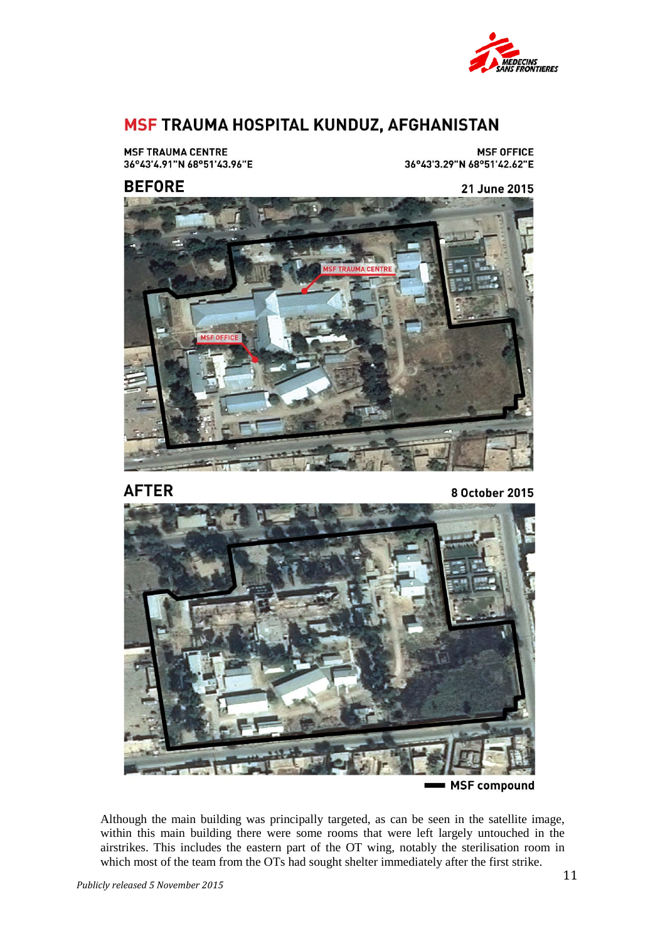

# MSF TRAUMA HOSPITAL KUNDUZ, AFGHANISTAN

**MSF TRAUMA CENTRE** 36°43'4.91"N 68°51'43.96"E

**MSF OFFICE** 36°43'3.29"N 68°51'42.62"E

## **BEFORE**

21 June 2015



**AFTER** 

8 October 2015



Although the main building was principally targeted, as can be seen in the satellite image, within this main building there were some rooms that were left largely untouched in the airstrikes. This includes the eastern part of the OT wing, notably the sterilisation room in which most of the team from the OTs had sought shelter immediately after the first strike.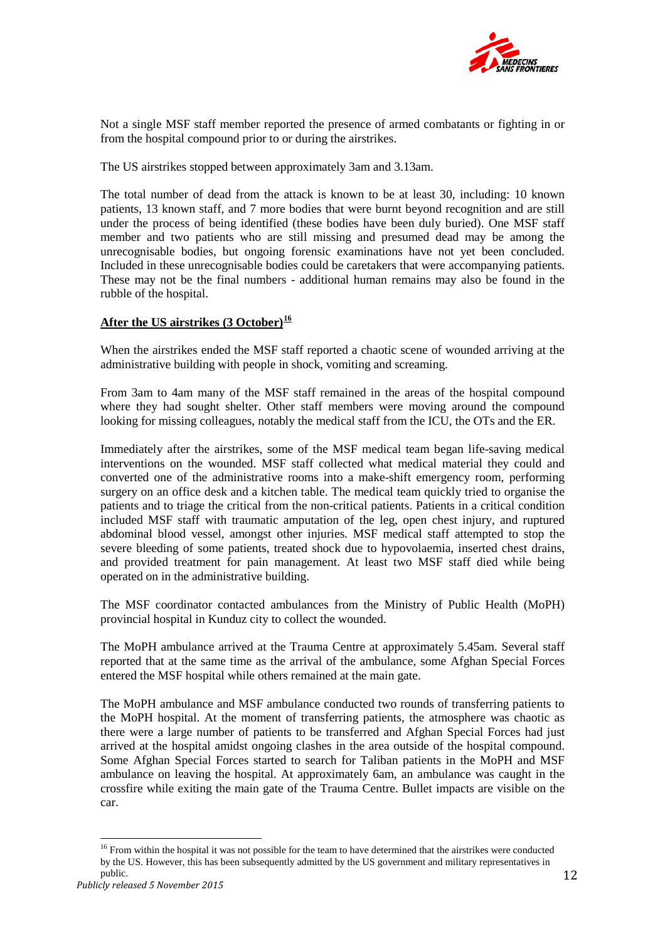

Not a single MSF staff member reported the presence of armed combatants or fighting in or from the hospital compound prior to or during the airstrikes.

The US airstrikes stopped between approximately 3am and 3.13am.

The total number of dead from the attack is known to be at least 30, including: 10 known patients, 13 known staff, and 7 more bodies that were burnt beyond recognition and are still under the process of being identified (these bodies have been duly buried). One MSF staff member and two patients who are still missing and presumed dead may be among the unrecognisable bodies, but ongoing forensic examinations have not yet been concluded. Included in these unrecognisable bodies could be caretakers that were accompanying patients. These may not be the final numbers - additional human remains may also be found in the rubble of the hospital.

## **After the US airstrikes (3 October)[16](#page-12-0)**

When the airstrikes ended the MSF staff reported a chaotic scene of wounded arriving at the administrative building with people in shock, vomiting and screaming.

From 3am to 4am many of the MSF staff remained in the areas of the hospital compound where they had sought shelter. Other staff members were moving around the compound looking for missing colleagues, notably the medical staff from the ICU, the OTs and the ER.

Immediately after the airstrikes, some of the MSF medical team began life-saving medical interventions on the wounded. MSF staff collected what medical material they could and converted one of the administrative rooms into a make-shift emergency room, performing surgery on an office desk and a kitchen table. The medical team quickly tried to organise the patients and to triage the critical from the non-critical patients. Patients in a critical condition included MSF staff with traumatic amputation of the leg, open chest injury, and ruptured abdominal blood vessel, amongst other injuries. MSF medical staff attempted to stop the severe bleeding of some patients, treated shock due to hypovolaemia, inserted chest drains, and provided treatment for pain management. At least two MSF staff died while being operated on in the administrative building.

The MSF coordinator contacted ambulances from the Ministry of Public Health (MoPH) provincial hospital in Kunduz city to collect the wounded.

The MoPH ambulance arrived at the Trauma Centre at approximately 5.45am. Several staff reported that at the same time as the arrival of the ambulance, some Afghan Special Forces entered the MSF hospital while others remained at the main gate.

The MoPH ambulance and MSF ambulance conducted two rounds of transferring patients to the MoPH hospital. At the moment of transferring patients, the atmosphere was chaotic as there were a large number of patients to be transferred and Afghan Special Forces had just arrived at the hospital amidst ongoing clashes in the area outside of the hospital compound. Some Afghan Special Forces started to search for Taliban patients in the MoPH and MSF ambulance on leaving the hospital. At approximately 6am, an ambulance was caught in the crossfire while exiting the main gate of the Trauma Centre. Bullet impacts are visible on the car.

<span id="page-12-0"></span><sup>&</sup>lt;sup>16</sup> From within the hospital it was not possible for the team to have determined that the airstrikes were conducted by the US. However, this has been subsequently admitted by the US government and military representatives in public.